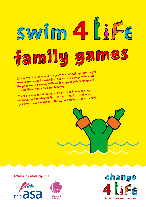# swim swim family games

Taking the kids swimming is a great way of making sure they're moving aroun<sup>d</sup> and having fun. And to help you get them into the pool, we've come up with loads of great swimming games to help them stay active and healthy.

There are so many things you can do – like humming songs underwater and playing Starfish Tag – that kids will never get bored. You can get into the water and join in the fun too!

Created in partnership with>





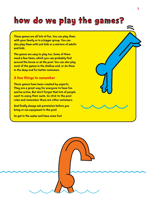# how do we play the games?

These games are all lots of fun. You can play them with your family or in a bigger group. You can also play them with just kids or a mixture of adults and kids.

The games are easy to play too. Some of them need a few items, which you can probably find around the house or at the pool. You can also play most of the games in the shallow end, or do them in the deep end for better swimmers.

#### A few things to remember

These games have been created by experts. They are a great way for everyone to have fun and be active. But don't forget that lots of people want to enjoy their swim. So stick to the pool rules and remember there are other swimmers.

And finally always ask permission before you bring or use equipment in the pool.

So get in the water and have some fun!



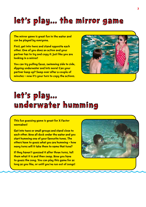# let's play....the mirror game

The mirror game is great fun in the water and can be played by everyone.

First, get into twos and stand opposite each other. One of you does an action and your partner has to try and copy it. Just like you are looking in a mirror!

You can try pulling faces, swimming side to side, dipping underwater and lots more! Can your partner keep up? Swap over after a couple of minutes – now it's your turn to copy the actions.



#### let's play... Let's play... Underwater humming

This fun guessing game is great for X Factor wannabes!

Get into twos or small groups and stand close to each other. Now all duck under the water and you start humming one of your favourite tunes. The others have to guess what you are humming – how many turns will it take them to name that tune?

If they haven't quessed it after three turns, tell them what it is and then swap. Now you have to guess the song. You can play this game for as long as you like, or until you've run out of songs!

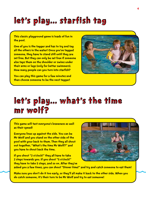# Let's play... starfish Tag Let's play... starfish Tag

This classic playground game is loads of fun in the pool.

One of you is the tagger and has to try and tag all the others in the water! Once you've tagged someone, they have to stand still until they are set free. But they can only be set free if someone else taps them on the shoulder or swims under their arms or legs (only for better swimmers). How many people can you turn into starfish?

You can play this game for a few minutes and then choose someone to be the next tagger!



## let's play... what's the time<br>mr wolf? mr wolf?

This game will test everyone's braveness as well as their speed!

Everyone lines up against the side. You can be Mr Wolf and you stand on the other side of the pool with your back to them. Then they all shout out together, "What's the time Mr Wolf?" and you have to shout back the time.

If you shout "2 o'clock!" they all have to take 2 steps towards you. If you shout "5 o'clock!" they have to take 5 steps, and so on. After they've



asked you a few times, you can shout "Dinner time!" and try and catch someone to eat them!

Make sure you don't do it too early, or they'll all make it back to the other side. When you do catch someone, it's their turn to be Mr Wolf and try to eat someone!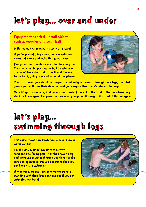## let's play... over and under

#### Equipment needed – small object such as goggles or a small ball

In this game everyone has to work as a team!

If you're part of a big group, you can split into groups of 6 or 8 and make this game a race!

Everyone stands behind each other in a long line. Then you start by passing the ball (or whatever you have) from the front of the line all the way to the back, going over and under all the players.



You pass it over your shoulder, the person behind you passes it through their legs, the third person passes it over their shoulder, and you carry on like that. Careful not to drop it!

Once it's got to the back, that person has to swim (or walk) to the front of the line where they start it all over again. The game finishes when you get all the way to the front of the line again!

## Let's play...… let's play... Swimming Through Legs Swimming Through Legs

This game shows how much fun swimming under water can be!

For this game, stand in a star shape with someone else facing you. Then they have to try and swim under water through your legs - make sure you open your legs wide enough! Then you can have a turn swimming.

If that was a bit easy, try getting two people standing with their legs open and see if you can swim through both!

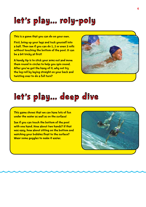# Let's play...…Roly-poly Let's play...…Roly-poly

This is a game that you can do on your own.

First, bring up your legs and tuck yourself into a ball. Then see if you can do 1, 2 or even 3 rolls without touching the bottom of the pool. It can be a bit tricky at first!

A handy tip is to stick your arms out and move them round in circles to help you spin round. After you've got the hang of it, why not try the log roll by laying straight on your back and twisting over to do a full turn?



# let's play....deep dive

This game shows that we can have lots of fun under the water as well as on the surface!

See if you can touch the bottom of the pool with one hand. How about two hands? If that was easy, how about sitting on the bottom and watching your bubbles float to the surface? Wear some goggles to make it easier.

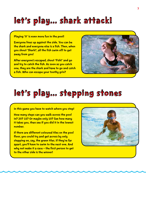## let's play... shark attack!

Playing 'It' is even more fun in the pool!

Everyone lines up against the side. You can be the shark and everyone else is a fish. Then, when you shout 'Shark!', all the fish swim off to get away from you!

After everyone's escaped, shout 'Fish!' and go and try to catch the fish. As soon as you catch one, they are the shark and have to go and catch a fish. Who can escape your toothy grin?



## let's play....stepping stones

In this game you have to watch where you step!

How many steps can you walk across the pool in? 20? 15? Or maybe only 10? See how many it takes you, then see if you did it in the lowest number.

If there are different coloured tiles on the pool floor, you could try and get across by only stepping on, say, the green tiles. If they're far apart, you'll have to swim to the next one. And why not make it a race - the first person to get to the other side is the winner!

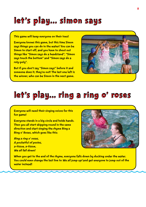#### let's play....simon says

This game will keep everyone on their toes!

Everyone knows this game, but this time Simon says things you can do in the water! You can be Simon to start off, and you have to shout out things like "Simon says do a headstand", "Simon says touch the bottom" and "Simon says do a roly-poly".

But if you don't say "Simon says" before it and someone does it, they're out! The last one left is the winner, who can be Simon in the next game.



#### let's play... ring a ring o' roses

Everyone will need their singing voices for this fun game!

Everyone stands in a big circle and holds hands. Then you all start skipping round in the same direction and start singing the rhyme Ring a Ring o' Roses, which goes like this:

Ring a ring o' roses, A pocketful of posies, a-tissue, a-tissue, We all fall down!



When you get to the end of the rhyme, everyone falls down by ducking under the water. You could even change the last line to We all jump up! and get everyone to jump out of the water instead!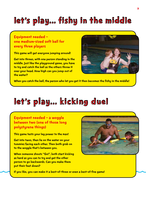# let's play....fishy in the middle

#### Equipment needed – one medium-sized soft ball for every three players

This game will get everyone jumping around!

Get into threes, with one person standing in the middle. Just like the playground game, you have to try and catch the ball as the others throw it over your head. How high can you jump out of the water?



When you catch the ball, the person who let you get it then becomes the fishy in the middle!

#### let's play....kicking duel

Equipment needed – a woggle between two (one of those long polystyrene things)

This game tests your leg power to the max!

Get into twos, then lie on the water on your tummies facing each other. Then both grab on to the woggle that's between you.

When someone shouts "Go!", both start kicking as hard as you can to try and get the other person to go backwards. Can you make them put their feet down?



If you like, you can make it a best-of-three or even a best-of-five game!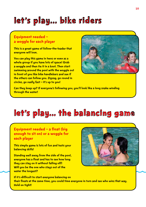# let's play....bike riders

#### Equipment needed – a woggle for each player

This is a great game of follow-the-leader that everyone will love.

You can play this game in twos or even as a whole group if you have lots of space! Grab a woggle and then tie it in a knot. Then start swimming around the pool with the woggle out in front of you like bike handlebars and see if the others can follow you. Zigzag, go round in circles, go really fast - it's up to you!



Can they keep up? If everyone's following you, you'll look like a long snake winding through the water!

# let's play....the balancing game

#### Equipment needed – a float (big enough to sit on) or a woggle for each player

This simple game is lots of fun and tests your balancing skills!

Standing well away from the side of the pool, everyone has a float and has to see how long they can stay on it without falling off! Will you be the one who stays out of the water the longest?



If it's difficult to start everyone balancing on their floats at the same time, you could time everyone in turn and see who wins that way. Hold on tight!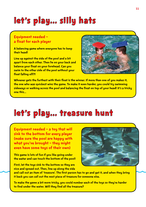# let's play.... silly hats

#### Equipment needed – a float for each player

A balancing game where everyone has to keep their head!

Line up against the side of the pool and a bit apart from each other. Then lie on your back and balance your float on your forehead. Can you swim to the other side of the pool without your float falling off?!



Whoever gets the furthest with their float is the winner. If more than one of you makes it, the one who was quickest wins the game. To make it even harder, you could try swimming sideways or walking across the pool and balancing the float on top of your head! It's a tricky one this...>

## Let's play...…Treasure Hunt Let's play...…Treasure Hunt

Equipment needed – a toy that will sink to the bottom for every player (make sure the pool are happy with what you've brought – they might even have some toys of their own)

This game is lots of fun if you like going under the water and can touch the bottom of the pool!

First, let the toys sink to the bottom so they are nice and spread out. Then, line up along the side



and call out an item of 'treasure'. The first person has to go and get it, and when they bring it back you can call out the next piece of treasure for someone else.

To make the game a bit more tricky, you could number each of the toys so they're harder to find under the water. Will they find all the treasure?